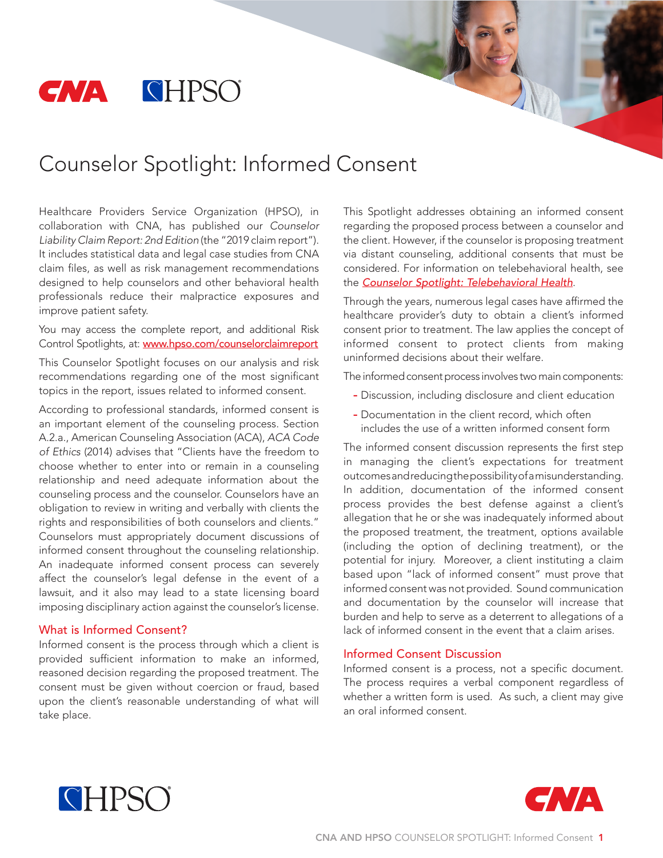

# Counselor Spotlight: Informed Consent

Healthcare Providers Service Organization (HPSO), in collaboration with CNA, has published our *Counselor Liability Claim Report: 2nd Edition* (the "2019 claim report"). It includes statistical data and legal case studies from CNA claim files, as well as risk management recommendations designed to help counselors and other behavioral health professionals reduce their malpractice exposures and improve patient safety.

You may access the complete report, and additional Risk Control Spotlights, at: [www.hpso.com/counselorclaimreport](http://www.hpso.com/risk-education/individuals/Counselor-Claim-Reports?refID=WWCCCi)

This Counselor Spotlight focuses on our analysis and risk recommendations regarding one of the most significant topics in the report, issues related to informed consent.

According to professional standards, informed consent is an important element of the counseling process. Section A.2.a., American Counseling Association (ACA), *ACA Code of Ethics* (2014) advises that "Clients have the freedom to choose whether to enter into or remain in a counseling relationship and need adequate information about the counseling process and the counselor. Counselors have an obligation to review in writing and verbally with clients the rights and responsibilities of both counselors and clients." Counselors must appropriately document discussions of informed consent throughout the counseling relationship. An inadequate informed consent process can severely affect the counselor's legal defense in the event of a lawsuit, and it also may lead to a state licensing board imposing disciplinary action against the counselor's license.

#### What is Informed Consent?

Informed consent is the process through which a client is provided sufficient information to make an informed, reasoned decision regarding the proposed treatment. The consent must be given without coercion or fraud, based upon the client's reasonable understanding of what will take place.

This Spotlight addresses obtaining an informed consent regarding the proposed process between a counselor and the client. However, if the counselor is proposing treatment via distant counseling, additional consents that must be considered. For information on telebehavioral health, see the *[Counselor Spotlight: Telebehavioral Health](http://www.hpso.com/counselorclaimreport_telebehavioralhealth)*.

Through the years, numerous legal cases have affirmed the healthcare provider's duty to obtain a client's informed consent prior to treatment. The law applies the concept of informed consent to protect clients from making uninformed decisions about their welfare.

The informed consent process involves two main components:

- Discussion, including disclosure and client education
- Documentation in the client record, which often includes the use of a written informed consent form

The informed consent discussion represents the first step in managing the client's expectations for treatment outcomes and reducing the possibility of a misunderstanding. In addition, documentation of the informed consent process provides the best defense against a client's allegation that he or she was inadequately informed about the proposed treatment, the treatment, options available (including the option of declining treatment), or the potential for injury. Moreover, a client instituting a claim based upon "lack of informed consent" must prove that informed consent was not provided. Sound communication and documentation by the counselor will increase that burden and help to serve as a deterrent to allegations of a lack of informed consent in the event that a claim arises.

### Informed Consent Discussion

Informed consent is a process, not a specific document. The process requires a verbal component regardless of whether a written form is used. As such, a client may give an oral informed consent.



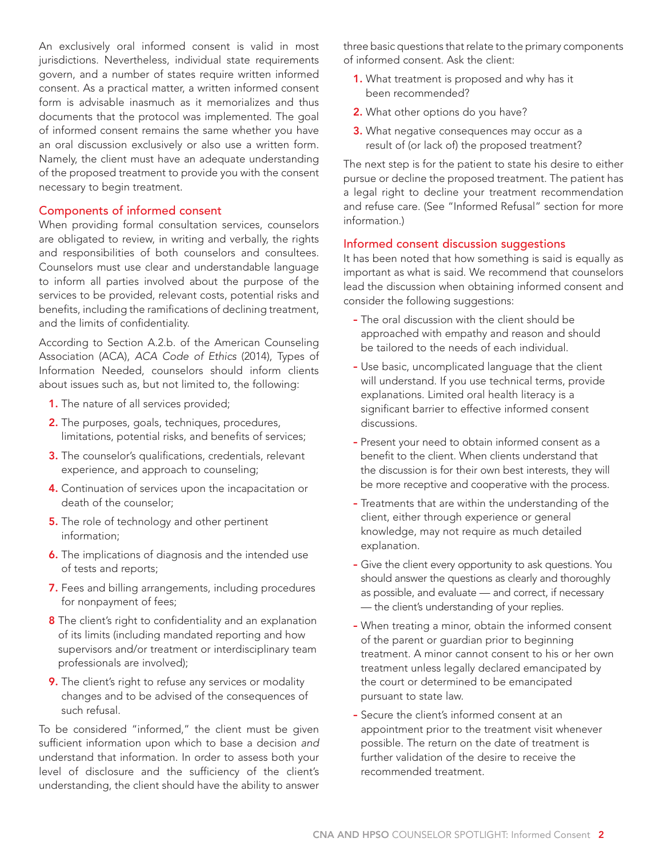An exclusively oral informed consent is valid in most jurisdictions. Nevertheless, individual state requirements govern, and a number of states require written informed consent. As a practical matter, a written informed consent form is advisable inasmuch as it memorializes and thus documents that the protocol was implemented. The goal of informed consent remains the same whether you have an oral discussion exclusively or also use a written form. Namely, the client must have an adequate understanding of the proposed treatment to provide you with the consent necessary to begin treatment.

## Components of informed consent

When providing formal consultation services, counselors are obligated to review, in writing and verbally, the rights and responsibilities of both counselors and consultees. Counselors must use clear and understandable language to inform all parties involved about the purpose of the services to be provided, relevant costs, potential risks and benefits, including the ramifications of declining treatment, and the limits of confidentiality.

According to Section A.2.b. of the American Counseling Association (ACA), *ACA Code of Ethics* (2014), Types of Information Needed, counselors should inform clients about issues such as, but not limited to, the following:

- 1. The nature of all services provided;
- 2. The purposes, goals, techniques, procedures, limitations, potential risks, and benefits of services;
- **3.** The counselor's qualifications, credentials, relevant experience, and approach to counseling;
- 4. Continuation of services upon the incapacitation or death of the counselor;
- **5.** The role of technology and other pertinent information;
- **6.** The implications of diagnosis and the intended use of tests and reports;
- 7. Fees and billing arrangements, including procedures for nonpayment of fees;
- 8 The client's right to confidentiality and an explanation of its limits (including mandated reporting and how supervisors and/or treatment or interdisciplinary team professionals are involved);
- 9. The client's right to refuse any services or modality changes and to be advised of the consequences of such refusal.

To be considered "informed," the client must be given sufficient information upon which to base a decision *and*  understand that information. In order to assess both your level of disclosure and the sufficiency of the client's understanding, the client should have the ability to answer three basic questions that relate to the primary components of informed consent. Ask the client:

- 1. What treatment is proposed and why has it been recommended?
- 2. What other options do you have?
- **3.** What negative consequences may occur as a result of (or lack of) the proposed treatment?

The next step is for the patient to state his desire to either pursue or decline the proposed treatment. The patient has a legal right to decline your treatment recommendation and refuse care. (See "Informed Refusal" section for more information.)

## Informed consent discussion suggestions

It has been noted that how something is said is equally as important as what is said. We recommend that counselors lead the discussion when obtaining informed consent and consider the following suggestions:

- The oral discussion with the client should be approached with empathy and reason and should be tailored to the needs of each individual.
- Use basic, uncomplicated language that the client will understand. If you use technical terms, provide explanations. Limited oral health literacy is a significant barrier to effective informed consent discussions.
- Present your need to obtain informed consent as a benefit to the client. When clients understand that the discussion is for their own best interests, they will be more receptive and cooperative with the process.
- Treatments that are within the understanding of the client, either through experience or general knowledge, may not require as much detailed explanation.
- Give the client every opportunity to ask questions. You should answer the questions as clearly and thoroughly as possible, and evaluate — and correct, if necessary — the client's understanding of your replies.
- When treating a minor, obtain the informed consent of the parent or guardian prior to beginning treatment. A minor cannot consent to his or her own treatment unless legally declared emancipated by the court or determined to be emancipated pursuant to state law.
- Secure the client's informed consent at an appointment prior to the treatment visit whenever possible. The return on the date of treatment is further validation of the desire to receive the recommended treatment.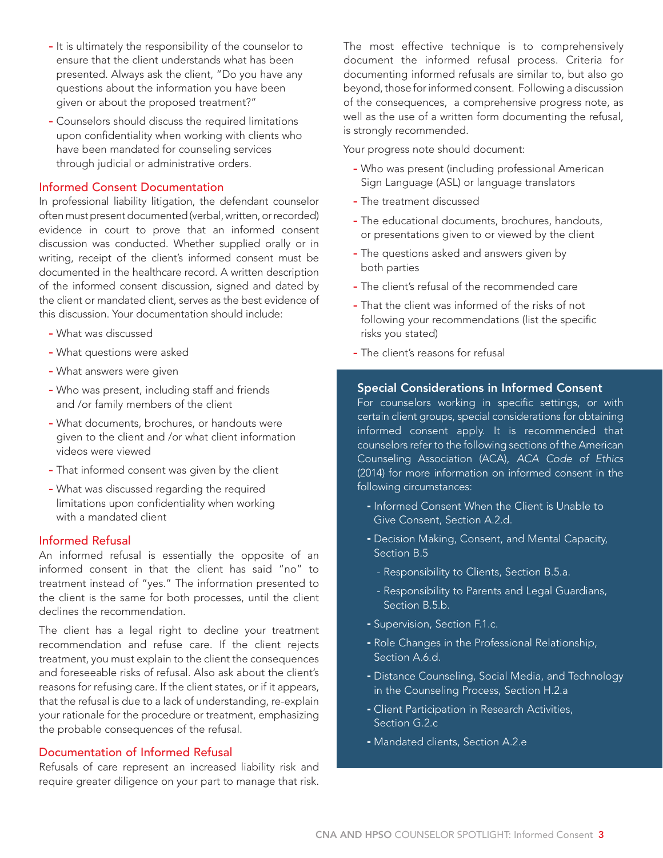- It is ultimately the responsibility of the counselor to ensure that the client understands what has been presented. Always ask the client, "Do you have any questions about the information you have been given or about the proposed treatment?"
- Counselors should discuss the required limitations upon confidentiality when working with clients who have been mandated for counseling services through judicial or administrative orders.

## Informed Consent Documentation

In professional liability litigation, the defendant counselor often must present documented (verbal, written, or recorded) evidence in court to prove that an informed consent discussion was conducted. Whether supplied orally or in writing, receipt of the client's informed consent must be documented in the healthcare record. A written description of the informed consent discussion, signed and dated by the client or mandated client, serves as the best evidence of this discussion. Your documentation should include:

- What was discussed
- What questions were asked
- What answers were given
- Who was present, including staff and friends and /or family members of the client
- What documents, brochures, or handouts were given to the client and /or what client information videos were viewed
- That informed consent was given by the client
- What was discussed regarding the required limitations upon confidentiality when working with a mandated client

#### Informed Refusal

An informed refusal is essentially the opposite of an informed consent in that the client has said "no" to treatment instead of "yes." The information presented to the client is the same for both processes, until the client declines the recommendation.

The client has a legal right to decline your treatment recommendation and refuse care. If the client rejects treatment, you must explain to the client the consequences and foreseeable risks of refusal. Also ask about the client's reasons for refusing care. If the client states, or if it appears, that the refusal is due to a lack of understanding, re-explain your rationale for the procedure or treatment, emphasizing the probable consequences of the refusal.

## Documentation of Informed Refusal

Refusals of care represent an increased liability risk and require greater diligence on your part to manage that risk. The most effective technique is to comprehensively document the informed refusal process. Criteria for documenting informed refusals are similar to, but also go beyond, those for informed consent. Following a discussion of the consequences, a comprehensive progress note, as well as the use of a written form documenting the refusal, is strongly recommended.

Your progress note should document:

- Who was present (including professional American Sign Language (ASL) or language translators
- The treatment discussed
- The educational documents, brochures, handouts, or presentations given to or viewed by the client
- The questions asked and answers given by both parties
- The client's refusal of the recommended care
- That the client was informed of the risks of not following your recommendations (list the specific risks you stated)
- The client's reasons for refusal

#### Special Considerations in Informed Consent

For counselors working in specific settings, or with certain client groups, special considerations for obtaining informed consent apply. It is recommended that counselors refer to the following sections of the American Counseling Association (ACA), *ACA Code of Ethics* (2014) for more information on informed consent in the following circumstances:

- Informed Consent When the Client is Unable to Give Consent, Section A.2.d.
- Decision Making, Consent, and Mental Capacity, Section B.5
	- Responsibility to Clients, Section B.5.a.
	- Responsibility to Parents and Legal Guardians, Section B.5.b.
- Supervision, Section F.1.c.
- Role Changes in the Professional Relationship, Section A.6.d.
- Distance Counseling, Social Media, and Technology in the Counseling Process, Section H.2.a
- Client Participation in Research Activities, Section G.2.c
- Mandated clients, Section A.2.e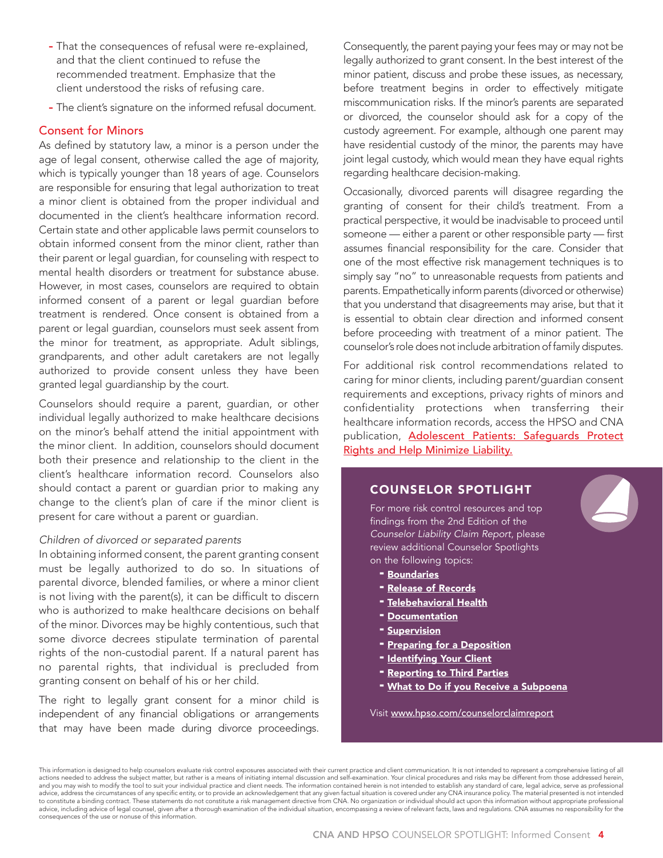- That the consequences of refusal were re-explained, and that the client continued to refuse the recommended treatment. Emphasize that the client understood the risks of refusing care.
- The client's signature on the informed refusal document.

## Consent for Minors

As defined by statutory law, a minor is a person under the age of legal consent, otherwise called the age of majority, which is typically younger than 18 years of age. Counselors are responsible for ensuring that legal authorization to treat a minor client is obtained from the proper individual and documented in the client's healthcare information record. Certain state and other applicable laws permit counselors to obtain informed consent from the minor client, rather than their parent or legal guardian, for counseling with respect to mental health disorders or treatment for substance abuse. However, in most cases, counselors are required to obtain informed consent of a parent or legal guardian before treatment is rendered. Once consent is obtained from a parent or legal guardian, counselors must seek assent from the minor for treatment, as appropriate. Adult siblings, grandparents, and other adult caretakers are not legally authorized to provide consent unless they have been granted legal guardianship by the court.

Counselors should require a parent, guardian, or other individual legally authorized to make healthcare decisions on the minor's behalf attend the initial appointment with the minor client. In addition, counselors should document both their presence and relationship to the client in the client's healthcare information record. Counselors also should contact a parent or guardian prior to making any change to the client's plan of care if the minor client is present for care without a parent or guardian.

#### *Children of divorced or separated parents*

In obtaining informed consent, the parent granting consent must be legally authorized to do so. In situations of parental divorce, blended families, or where a minor client is not living with the parent(s), it can be difficult to discern who is authorized to make healthcare decisions on behalf of the minor. Divorces may be highly contentious, such that some divorce decrees stipulate termination of parental rights of the non-custodial parent. If a natural parent has no parental rights, that individual is precluded from granting consent on behalf of his or her child.

The right to legally grant consent for a minor child is independent of any financial obligations or arrangements that may have been made during divorce proceedings.

Consequently, the parent paying your fees may or may not be legally authorized to grant consent. In the best interest of the minor patient, discuss and probe these issues, as necessary, before treatment begins in order to effectively mitigate miscommunication risks. If the minor's parents are separated or divorced, the counselor should ask for a copy of the custody agreement. For example, although one parent may have residential custody of the minor, the parents may have joint legal custody, which would mean they have equal rights regarding healthcare decision-making.

Occasionally, divorced parents will disagree regarding the granting of consent for their child's treatment. From a practical perspective, it would be inadvisable to proceed until someone — either a parent or other responsible party — first assumes financial responsibility for the care. Consider that one of the most effective risk management techniques is to simply say "no" to unreasonable requests from patients and parents. Empathetically inform parents (divorced or otherwise) that you understand that disagreements may arise, but that it is essential to obtain clear direction and informed consent before proceeding with treatment of a minor patient. The counselor's role does not include arbitration of family disputes.

For additional risk control recommendations related to caring for minor clients, including parent/guardian consent requirements and exceptions, privacy rights of minors and confidentiality protections when transferring their healthcare information records, access the HPSO and CNA publication, [Adolescent Patients: Safeguards Protect](http://www.hpso.com/Documents/Risk%20Education/Businesses/CNA_HP17-13_031617a_CF_PROD_SEC.pdf) [Rights and Help Minimize Liability.](http://www.hpso.com/Documents/Risk%20Education/Businesses/CNA_HP17-13_031617a_CF_PROD_SEC.pdf)

## COUNSELOR SPOTLIGHT

For more risk control resources and top findings from the 2nd Edition of the *Counselor Liability Claim Report*, please review additional Counselor Spotlights on the following topics:

- **[Boundaries](http://www.hpso.com/Documents/Risk%20Education/individuals/Claim-Reports/Counselor/Boundaries-Spotlight.pdf)**
- **[Release of Records](http://www.hpso.com/Documents/Risk%20Education/individuals/Claim-Reports/Counselor/F-13775-619_Release_of_Records_Spotlight.pdf)**
- **[Telebehavioral Health](http://www.hpso.com/counselorclaimreport_telebehavioralhealth)**
- **[Documentation](http://www.hpso.com/counselorclaimreport_documentation)**
- **[Supervision](http://www.hpso.com/counselorclaimreport_supervision)**
- **[Preparing for a Deposition](http://www.hpso.com/counselorclaimreport_preparedepo)**
- [Identifying Your Client](http://www.hpso.com/counselorclaimreport_client)
- [Reporting to Third Parties](http://www.hpso.com/counselorclaimreport_thirdparties)
- [What to Do if you Receive a Subpoena](http://www.hpso.com/counselorclaimreport_subpoena)

Visit [www.hpso.com/counselorclaimreport](http://www.hpso.com/counselorclaimreport)

This information is designed to help counselors evaluate risk control exposures associated with their current practice and client communication. It is not intended to represent a comprehensive listing of all actions needed to address the subject matter, but rather is a means of initiating internal discussion and self-examination. Your clinical procedures and risks may be different from those addressed herein, and you may wish to modify the tool to suit your individual practice and client needs. The information contained herein is not intended to establish any standard of care, legal advice, serve as professional and the state o advice, including advice of legal counsel, given after a thorough examination of the individual situation, encompassing a review of relevant facts, laws and regulations. CNA assumes no responsibility for the consequences of the use or nonuse of this information.